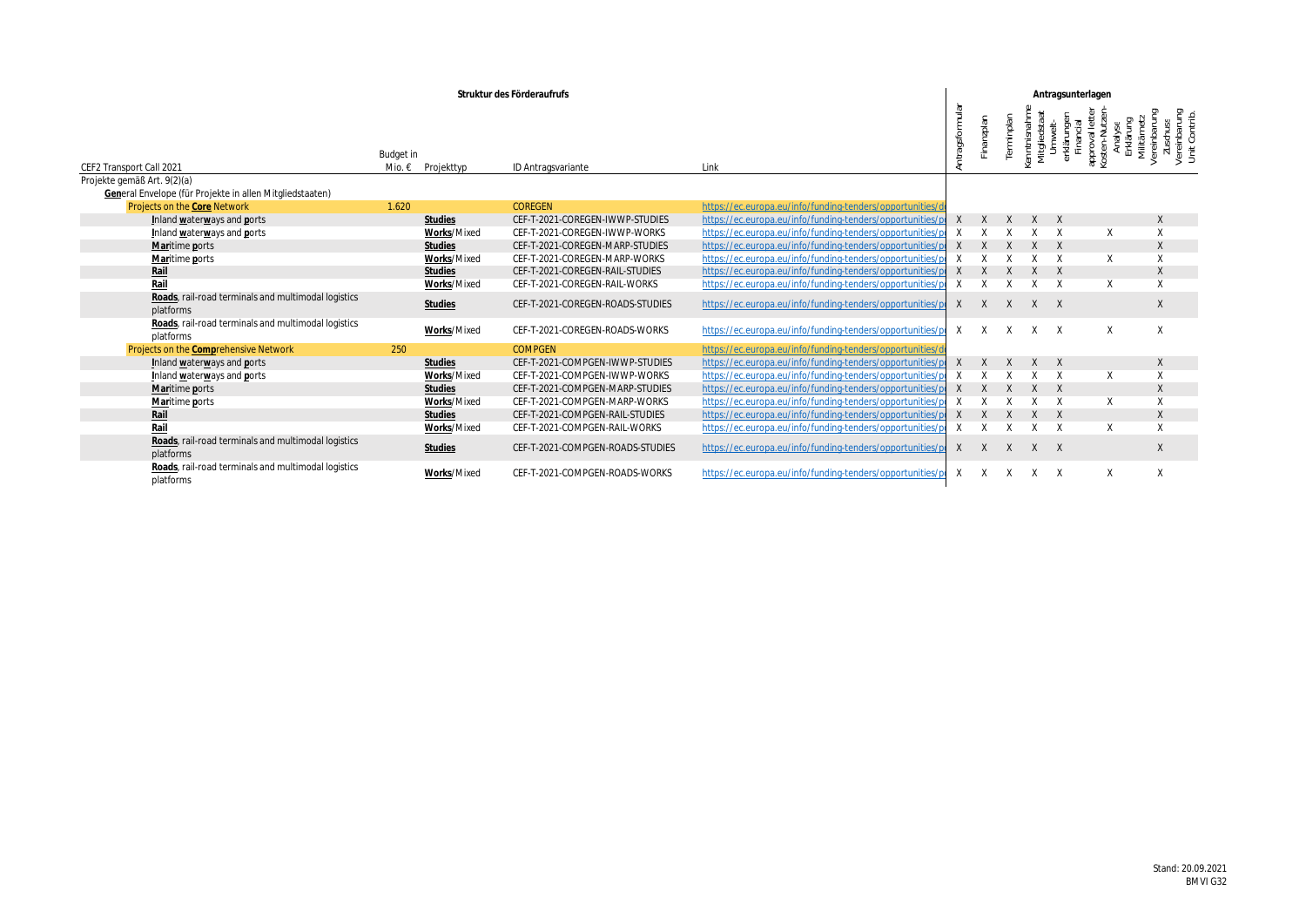|                                                                          |                                | Struktur des Förderaufrufs       |                                                                                                                    | Antragsunterlagen   |                                                                                                                                                                                               |
|--------------------------------------------------------------------------|--------------------------------|----------------------------------|--------------------------------------------------------------------------------------------------------------------|---------------------|-----------------------------------------------------------------------------------------------------------------------------------------------------------------------------------------------|
| CEF2 Transport Call 2021                                                 | Budget in<br>Mio. € Projekttyp | ID Antragsvariante               |                                                                                                                    |                     | rinisma<br>United States<br>United States<br>United States<br>Eliancial<br>Financial<br>Envision States<br>Erklähung<br>Erklähung<br>Erklähung<br>Zuschus<br>Zuschurz<br>Zuschurz<br>Zuschurz |
| Projekte gemäß Art. 9(2)(a)                                              |                                |                                  |                                                                                                                    |                     |                                                                                                                                                                                               |
| General Envelope (für Projekte in allen Mitgliedstaaten)                 |                                |                                  |                                                                                                                    |                     |                                                                                                                                                                                               |
| Projects on the Core Network                                             | 1620                           | COREGEN                          | <u>idei s/opportunit</u>                                                                                           |                     |                                                                                                                                                                                               |
| Inland waterways and ports                                               | <u>Studies</u>                 | CEF-T-2021-COREGEN-IWWP-STUDIES  | https://ec.europa.eu/info/funding-tenders/opportunitie                                                             | X X X X X           |                                                                                                                                                                                               |
| Inland waterways and ports                                               | Works/Mixed                    | CEF-T-2021-COREGEN-IWWP-WORKS    | tps://ec.europa.eu/info/funding-tenders/opportunities                                                              | $X$ $X$ $X$ $X$ $X$ |                                                                                                                                                                                               |
| Maritime ports                                                           | Studies                        | CEF-T-2021-COREGEN-MARP-STUDIES  | https://ec.europa.eu/info/funding-tenders/opportunities                                                            | $X$ $X$ $X$ $X$ $X$ |                                                                                                                                                                                               |
| Maritime ports                                                           | Works/Mixed                    | CEF-T-2021-COREGEN-MARP-WORKS    | https://ec.europa.eu/info/funding-tenders/opportunitie                                                             | $X$ $X$ $X$ $X$ $X$ |                                                                                                                                                                                               |
|                                                                          | Studies                        | CEF-T-2021-COREGEN-RAIL-STUDIES  | https://ec.europa.eu/info/funding-tenders/opportunities                                                            | $X$ $X$ $X$ $X$ $X$ |                                                                                                                                                                                               |
|                                                                          | Works/Mixed                    | CEF-T-2021-COREGEN-RAIL-WORKS    | https://ec.europa.eu/info/funding-tenders/opportunitie                                                             | $X$ $X$ $X$ $X$ $X$ |                                                                                                                                                                                               |
| Roads, rail-road terminals and multimodal logistics<br>platforms         | Studies                        | CEF-T-2021-COREGEN-ROADS-STUDIES | https://ec.europa.eu/info/funding-tenders/opportunitie                                                             | $X$ $X$ $X$ $X$ $X$ |                                                                                                                                                                                               |
| <u>Roads</u> , rail-road terminals and multimodal logistics<br>platforms | Works/Mixed                    | -COREGEN-ROADS-WORKS             | https://ec.europa.eu/info/funding-tenders/opportunities/p X X X X X                                                |                     |                                                                                                                                                                                               |
| Projects on the Comprehensive Network                                    |                                | <b>COMPGEN</b>                   |                                                                                                                    |                     |                                                                                                                                                                                               |
| Inland waterways and ports                                               | Studies<br>Works/Mixed         | CEF-T-2021-COMPGEN-IWWP-STUDIES  | https://ec.europa.eu/info/funding-tenders/opportunities<br>https://ec.europa.eu/info/funding-tenders/opportunities | X X X X X           |                                                                                                                                                                                               |
| Inland waterways and ports                                               |                                | CEF-T-2021-COMPGEN-IWWP-WORKS    | ttps://ec.europa.eu/info/funding-tenders/opportunitie                                                              | $X$ $X$ $X$ $X$ $X$ |                                                                                                                                                                                               |
| Maritime ports                                                           | Studies                        | CEF-T-2021-COMPGEN-MARP-STUDIES  | tps://ec.europa.eu/info/funding-tenders/opportuniti                                                                | X X X X X           |                                                                                                                                                                                               |
| Maritime ports                                                           | Works/Mixed                    | CEF-T-2021-COMPGEN-MARP-WORKS    | https://ec.europa.eu/info/funding-tenders/opportunitie                                                             | $X$ $X$ $X$ $X$     |                                                                                                                                                                                               |
|                                                                          | Studies                        | CEF-T-2021-COMPGEN-RAIL-STUDIES  | https://ec.europa.eu/info/funding-tenders/opportunit                                                               | X X X X X           |                                                                                                                                                                                               |
|                                                                          | Works/Mixed                    | CEF-T-2021-COMPGEN-RAIL-WORKS    | https://ec.europa.eu/info/funding-tenders/opportunitie                                                             | $X$ $X$ $X$ $X$ $X$ |                                                                                                                                                                                               |
| Roads, rail-road terminals and multimodal logistics<br>platforms         | Studies                        | CEF-T-2021-COMPGEN-ROADS-STUDIES | https://ec.europa.eu/info/funding-tenders/opportunitie                                                             | $X$ $X$ $X$ $X$ $X$ |                                                                                                                                                                                               |
| Roads, rail-road terminals and multimodal logistics<br>alatforms         | Works/Mixed                    | CEF-T-2021-COMPGEN-ROADS-WORKS   | https://ec.europa.eu/info/funding-tenders/opportunities/pi X X X X X                                               |                     |                                                                                                                                                                                               |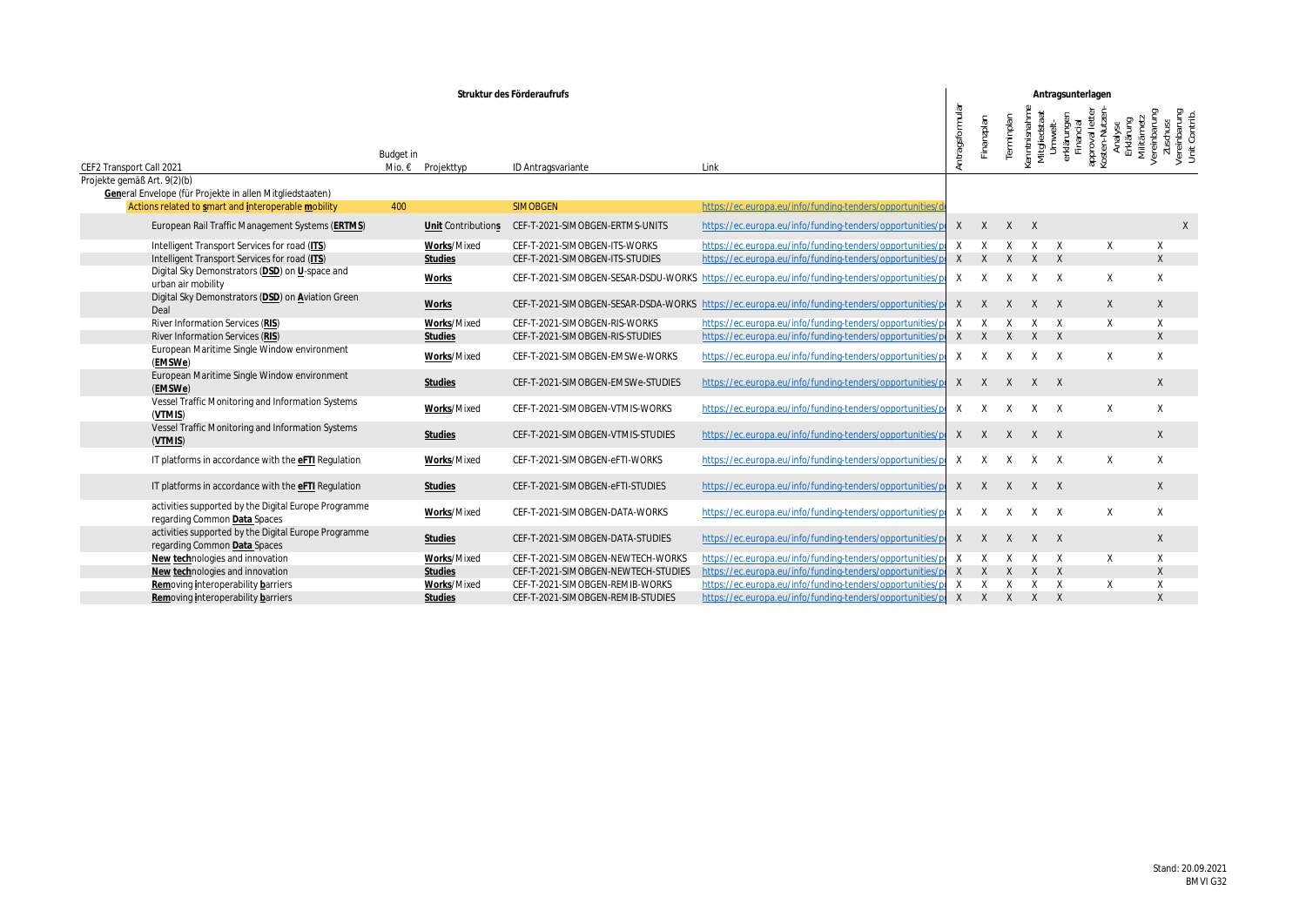|                                                                                                                 |                                | Struktur des Förderaufrufs |                                                    |                                                                                                        |                 | Antragsunterlagen   |                   |
|-----------------------------------------------------------------------------------------------------------------|--------------------------------|----------------------------|----------------------------------------------------|--------------------------------------------------------------------------------------------------------|-----------------|---------------------|-------------------|
| CEF2 Transport Call 2021                                                                                        | Budget in<br>Mio. € Projekttyp |                            | ID Antragsvariante                                 |                                                                                                        |                 |                     |                   |
| Projekte gemäß Art. 9(2)(b)                                                                                     |                                |                            |                                                    |                                                                                                        |                 |                     |                   |
| General Envelope (für Projekte in allen Mitgliedstaaten)<br>Actions related to smart and interoperable mobility | 400                            |                            | SIMOBGEN                                           | https://ec.europa.eu/info/funding-tenders/opportunitie                                                 |                 |                     |                   |
|                                                                                                                 |                                |                            |                                                    |                                                                                                        |                 |                     |                   |
| European Rail Traffic Management Systems (ERTMS)                                                                |                                |                            | Unit Contributions CEF-T-2021-SIMOBGEN-ERTMS-UNITS | https://ec.europa.eu/info/funding-tenders/opportunities/p                                              | $X$ $X$ $X$ $X$ |                     |                   |
| Intelligent Transport Services for road (ITS)                                                                   |                                | Works/Mixed                | CEF-T-2021-SIMOBGEN-ITS-WORKS                      | https://ec.europa.eu/info/funding-tenders/opportunities/p                                              |                 | $X$ $X$ $X$ $X$ $Y$ | $\times$          |
| Intelligent Transport Services for road (ITS)                                                                   |                                | Studies                    | CEF-T-2021-SIMOBGEN-ITS-STUDIES                    | https://ec.europa.eu/info/funding-tenders/opportunities/p X X X X X                                    |                 |                     |                   |
| Digital Sky Demonstrators (DSD) on U-space and<br>urban air mobility                                            | Works                          |                            |                                                    | CEF-T-2021-SIMOBGEN-SESAR-DSDU-WORKS https://ec.europa.eu/info/funding-tenders/opportunities/p         |                 | $X$ $X$ $X$ $X$ $X$ |                   |
| Digital Sky Demonstrators (DSD) on Aviation Green                                                               | Works                          |                            |                                                    | CEF-T-2021-SIMOBGEN-SESAR-DSDA-WORKS https://ec.europa.eu/info/funding-tenders/opportunities/p         |                 | $X$ $X$ $X$ $X$ $X$ |                   |
| River Information Services (RIS)                                                                                |                                | Works/Mixed                | CEF-T-2021-SIMOBGEN-RIS-WORKS                      | https://ec.europa.eu/info/funding-tenders/opportunitie                                                 | $X$ $X$ $X$ $X$ |                     |                   |
| River Information Services (RIS)                                                                                |                                | <u>Studies</u>             | CEF-T-2021-SIMOBGEN-RIS-STUDIES                    | https://ec.europa.eu/info/funding-tenders/opportunities/pi X X X X X                                   |                 |                     | $X \sim 1$        |
| European Maritime Single Window environment<br><u>(EMSWe)</u>                                                   |                                | Works/Mixed                | CEF-T-2021-SIMOBGEN-EMSWe-WORKS                    | https://ec.europa.eu/info/funding-tenders/opportunities/p                                              |                 | $X$ $X$ $X$ $X$ $X$ | $\times$ $\times$ |
| European Maritime Single Window environment<br>(EMSWe)                                                          |                                | Studies                    |                                                    | CEF-T-2021-SIMOBGEN-EMSWe-STUDIES https://ec.europa.eu/info/funding-tenders/opportunities/pl X X X X X |                 |                     |                   |
| Vessel Traffic Monitoring and Information Systems<br>( <u>VTMIS</u> )                                           |                                | Works/Mixed                | CEF-T-2021-SIMOBGEN-VTMIS-WORKS                    | https://ec.europa.eu/info/funding-tenders/opportunities/po                                             |                 | $X$ $X$ $X$ $X$ $X$ |                   |
| Vessel Traffic Monitoring and Information Systems<br>(VTMIS)                                                    | Studies                        |                            | CEF-T-2021-SIMOBGEN-VTMIS-STUDIES                  | https://ec.europa.eu/info/funding-tenders/opportunities/p                                              |                 | $X$ $X$ $X$ $X$ $X$ | $\times$          |
| IT platforms in accordance with the eFTI Regulation                                                             |                                | Works/Mixed                | CEF-T-2021-SIMOBGEN-eFTI-WORKS                     | https://ec.europa.eu/info/funding-tenders/opportunities/po                                             |                 | $X$ $X$ $X$ $X$ $X$ | $\times$          |
| IT platforms in accordance with the eFTI Regulation                                                             |                                | Studies                    | CEF-T-2021-SIMOBGEN-eFTI-STUDIES                   | https://ec.europa.eu/info/funding-tenders/opportunities/po                                             |                 | $X$ $X$ $X$ $X$ $X$ |                   |
| activities supported by the Digital Europe Programme<br>regarding Common Data Spaces                            |                                | Works/Mixed                | CEF-T-2021-SIMOBGEN-DATA-WORKS                     | https://ec.europa.eu/info/funding-tenders/opportunities/po                                             |                 | $X$ $X$ $X$ $X$ $X$ |                   |
| activities supported by the Digital Europe Programme<br>regarding Common Data Spaces                            |                                | Studies                    | CEF-T-2021-SIMOBGEN-DATA-STUDIES                   | https://ec.europa.eu/info/funding-tenders/opportunities/po                                             |                 | $X$ $X$ $X$ $X$ $X$ |                   |
| New technologies and innovation                                                                                 |                                | Works/Mixed                | CEF-T-2021-SIMOBGEN-NEWTECH-WORKS                  | https://ec.europa.eu/info/funding-tenders/opportunitie                                                 |                 | $X$ $X$ $X$ $X$ $Y$ |                   |
| New technologies and innovation                                                                                 |                                | Studies                    | CEF-T-2021-SIMOBGEN-NEWTECH-STUDIES                | https://ec.europa.eu/info/funding-tenders/opportunities/                                               |                 | $X$ $X$ $X$ $X$ $X$ |                   |
| <u>Rem</u> oving interoperability barriers                                                                      |                                | Works/Mixed                | CEF-T-2021-SIMOBGEN-REMIB-WORKS                    | https://ec.europa.eu/info/funding-tenders/opportunitie                                                 | $X$ $X$ $X$ $X$ |                     |                   |
| Removing interoperability barriers                                                                              | Studies                        |                            | CEF-T-2021-SIMOBGEN-REMIB-STUDIES                  | https://ec.europa.eu/info/funding-tenders/opportunities/pi X X X X X                                   |                 |                     |                   |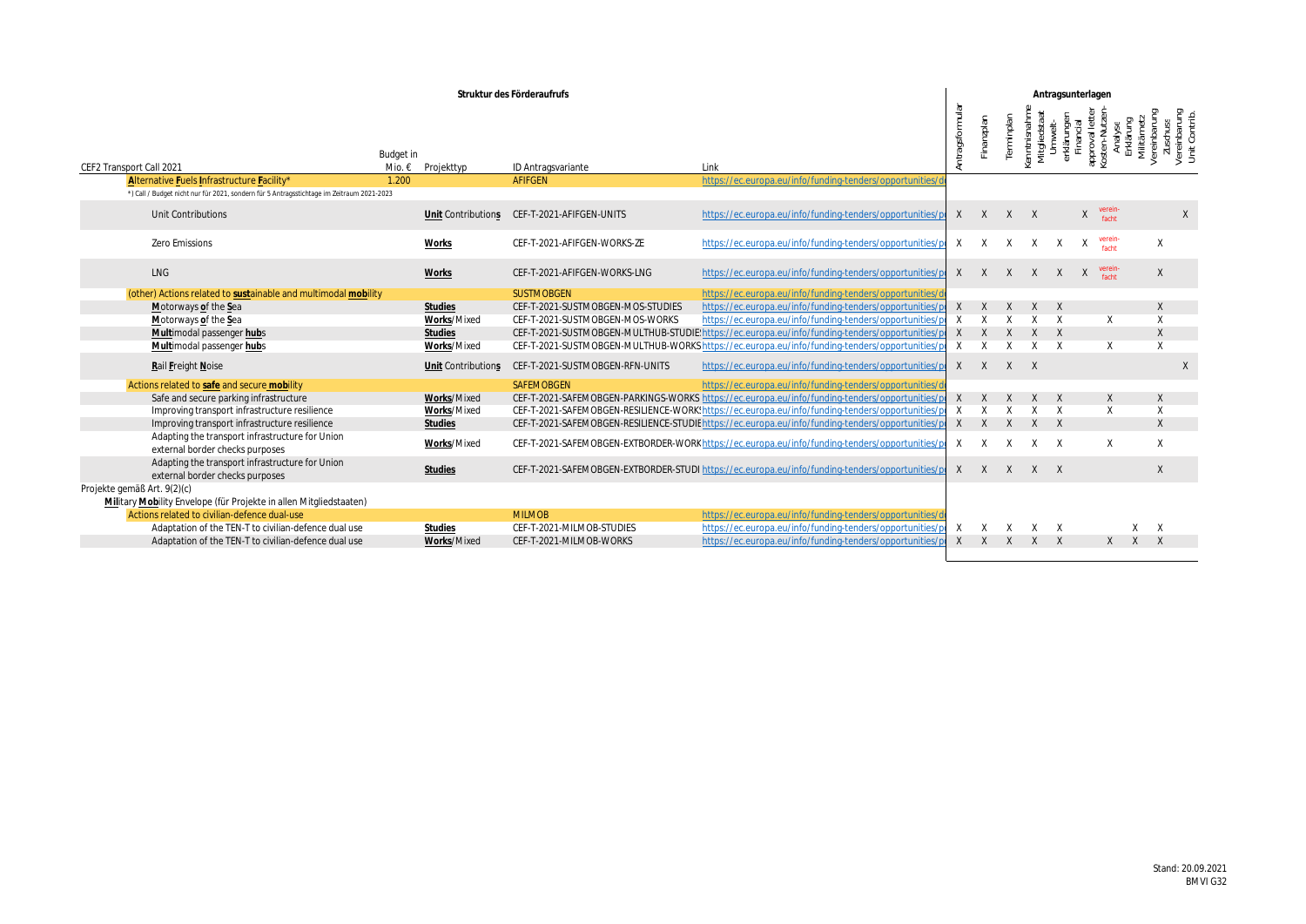|                                                                                           |                   | Struktur des Förderaufrufs                         |                                                                                                                          |                     | Antragsunterlage                |                                                                            |
|-------------------------------------------------------------------------------------------|-------------------|----------------------------------------------------|--------------------------------------------------------------------------------------------------------------------------|---------------------|---------------------------------|----------------------------------------------------------------------------|
|                                                                                           |                   |                                                    |                                                                                                                          |                     |                                 |                                                                            |
|                                                                                           | Budget in         |                                                    |                                                                                                                          |                     |                                 |                                                                            |
| CEF2 Transport Call 2021                                                                  | Mio. € Projekttyp | ID Antragsvariante                                 |                                                                                                                          |                     |                                 |                                                                            |
| Alternative Fuels Infrastructure Facility*                                                | 1.200             | AFIFGEN                                            | https://ec.europa.eu/info/funding-tenders/opportunitie                                                                   |                     |                                 |                                                                            |
| *) Call / Budget nicht nur für 2021, sondern für 5 Antragsstichtage im Zeitraum 2021-2023 |                   |                                                    |                                                                                                                          |                     |                                 |                                                                            |
| Unit Contributions                                                                        |                   | Unit Contributions CEF-T-2021-AFIFGEN-UNITS        | https://ec.europa.eu/info/funding-tenders/opportunities/pi X X X X X X ifacht                                            |                     |                                 |                                                                            |
| Zero Emissions                                                                            | <u>Works</u>      | CEF-T-2021-AFIFGEN-WORKS-ZE                        | https://ec.europa.eu/info/funding-tenders/opportunities/px X X X X X x <sup>verein</sup>                                 |                     |                                 |                                                                            |
| LNG                                                                                       | <u>Works</u>      | CEF-T-2021-AFIFGEN-WORKS-LNG                       | https://ec.europa.eu/info/funding-tenders/opportunities/pixxxxxxxxxeein-                                                 |                     |                                 |                                                                            |
| (other) Actions related to sustainable and multimodal mobility                            |                   | SUSTMOBGEN                                         |                                                                                                                          |                     |                                 |                                                                            |
| Motorways of the Sea                                                                      | Studies           | CEF-T-2021-SUSTMOBGEN-MOS-STUDIES                  | https://ec.europa.eu/info/funding-tenders/opportunities/pr X X X X X                                                     |                     |                                 | $\mathsf{X}$ and $\mathsf{X}$ and $\mathsf{X}$ are the set of $\mathsf{X}$ |
| Motorways of the Sea                                                                      | Works/Mixed       | CEF-T-2021-SUSTMOBGEN-MOS-WORKS                    | <u>//ec.europa.eu/info/funding-tenders/opportunit</u>                                                                    | $X$ $X$ $X$ $X$ $X$ |                                 |                                                                            |
| Multimodal passenger hubs                                                                 | Studies           |                                                    | CEF-T-2021-SUSTMOBGEN-MULTHUB-STUDIE!https://ec.europa.eu/info/funding-tenders/opportuniti                               | $X$ $X$ $X$ $X$ $X$ |                                 |                                                                            |
| Multimodal passenger hubs                                                                 | Works/Mixed       |                                                    | CEF-T-2021-SUSTMOBGEN-MULTHUB-WORKS https://ec.europa.eu/info/funding-tenders/opportunities/p                            | $X$ $X$ $X$ $X$ $X$ |                                 |                                                                            |
| Rail Freight Noise                                                                        |                   | Unit Contributions CEF-T-2021-SUSTMOBGEN-RFN-UNITS | https://ec.europa.eu/info/funding-tenders/opportunities/p X X X X                                                        |                     |                                 |                                                                            |
| Actions related to safe and secure mobility                                               |                   | SAFEMOBGEN                                         |                                                                                                                          |                     |                                 |                                                                            |
| Safe and secure parking infrastructure                                                    | Works/Mixed       |                                                    | CEF-T-2021-SAFEMOBGEN-PARKINGS-WORKS https://ec.europa.eu/info/funding-tenders/opportunities/p x x x x x x x x x x x x x |                     |                                 |                                                                            |
| Improving transport infrastructure resilience                                             | Works/Mixed       |                                                    | CEF-T-2021-SAFEMOBGEN-RESILIENCE-WORK:https://ec.europa.eu/info/funding-tenders/opportunities/                           | $X$ $X$ $X$ $X$ $X$ |                                 |                                                                            |
| Improving transport infrastructure resilience                                             | Studies           |                                                    | CEF-T-2021-SAFEMOBGEN-RESILIENCE-STUDIE https://ec.europa.eu/info/funding-tenders/opportunities/pl X X X X X             |                     |                                 |                                                                            |
| Adapting the transport infrastructure for Union<br>external border checks purposes        | Works/Mixed       |                                                    | CEF-T-2021-SAFEMOBGEN-EXTBORDER-WORKhttps://ec.europa.eu/info/funding-tenders/opportunities/pr X X X X X                 |                     |                                 |                                                                            |
| Adapting the transport infrastructure for Union<br>external border checks purposes        | Studies           |                                                    | CEF-T-2021-SAFEMOBGEN-EXTBORDER-STUDI https://ec.europa.eu/info/funding-tenders/opportunities/pl X X X X X               |                     |                                 |                                                                            |
| Projekte gemäß Art. 9(2)(c)                                                               |                   |                                                    |                                                                                                                          |                     |                                 |                                                                            |
| Military Mobility Envelope (für Projekte in allen Mitgliedstaaten)                        |                   |                                                    |                                                                                                                          |                     |                                 |                                                                            |
| Actions related to civilian-defence dual-use                                              |                   | <b>MILMOB</b>                                      | https://ec.europa.eu/info/funding                                                                                        |                     |                                 |                                                                            |
| Adaptation of the TEN-T to civilian-defence dual use                                      | Studies           | CEF-T-2021-MILMOB-STUDIES                          | https://ec.europa.eu/info/funding-tenders/opportunitie                                                                   | $X$ $X$ $X$ $X$ $X$ |                                 | X X                                                                        |
| Adaptation of the TEN-T to civilian-defence dual use                                      | Works/Mixed       | CEF-T-2021-MILMOB-WORKS                            | https://ec.europa.eu/info/funding-tenders/opportunitie                                                                   |                     | $X$ $X$ $X$ $X$ $X$ $X$ $X$ $X$ |                                                                            |
|                                                                                           |                   |                                                    |                                                                                                                          |                     |                                 |                                                                            |